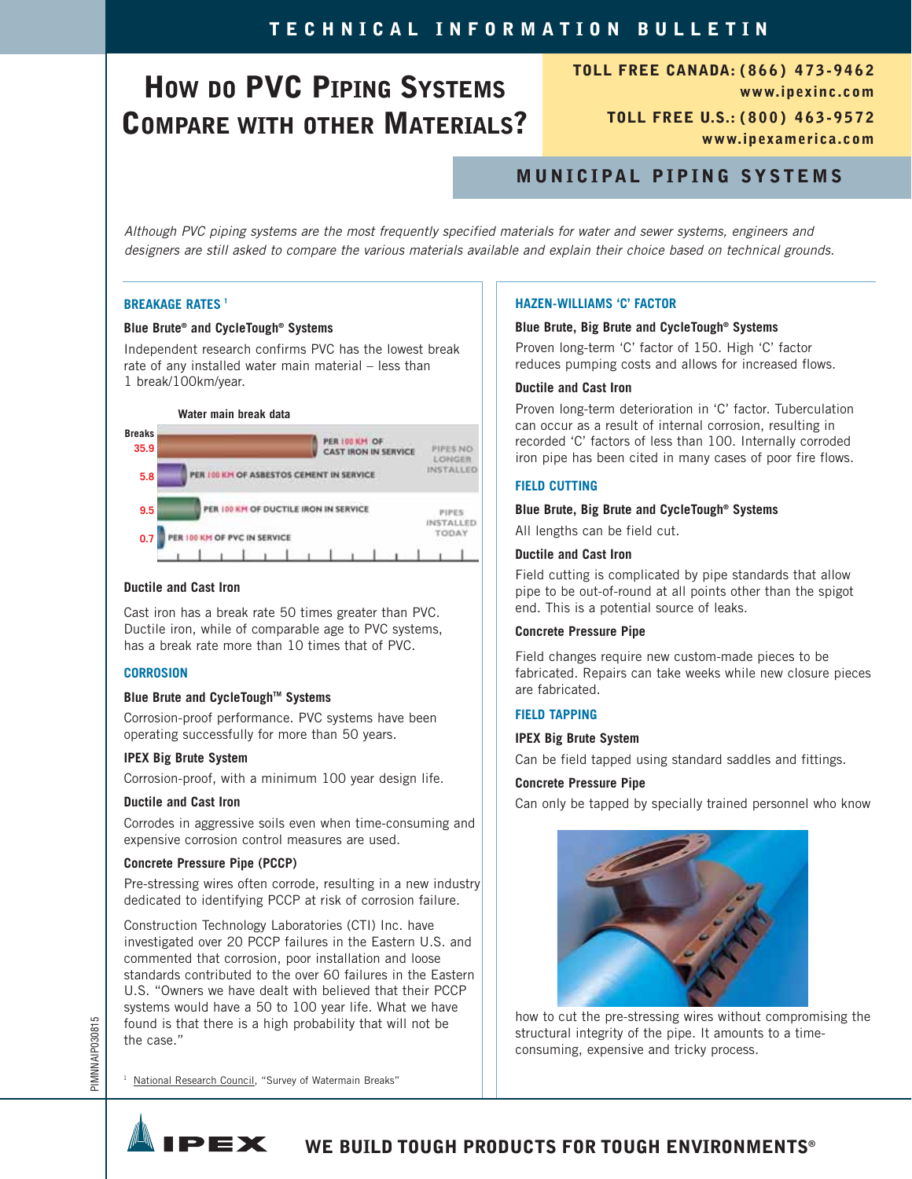# **HOW DO PVC PIPING SYSTEMS COMPARE WITH OTHER MATERIALS?**

**TOLL FREE CANADA: (866) 473-9462 www.ipexinc.com TOLL FREE U.S.: (800) 463-9572 www.ipexamerica.com**

### **MUNICIPAL PIPING SYSTEMS**

Although PVC piping systems are the most frequently specified materials for water and sewer systems, engineers and designers are still asked to compare the various materials available and explain their choice based on technical grounds.

#### **BREAKAGE RATES <sup>1</sup>**

#### **Blue Brute® and CycleTough® Systems**

Independent research confirms PVC has the lowest break rate of any installed water main material – less than 1 break/100km/year.



#### **Ductile and Cast Iron**

Cast iron has a break rate 50 times greater than PVC. Ductile iron, while of comparable age to PVC systems, has a break rate more than 10 times that of PVC.

#### **CORROSION**

#### **Blue Brute and CycleTough™ Systems**

Corrosion-proof performance. PVC systems have been operating successfully for more than 50 years.

#### **IPEX Big Brute System**

Corrosion-proof, with a minimum 100 year design life.

#### **Ductile and Cast Iron**

Corrodes in aggressive soils even when time-consuming and expensive corrosion control measures are used.

#### **Concrete Pressure Pipe (PCCP)**

Pre-stressing wires often corrode, resulting in a new industry dedicated to identifying PCCP at risk of corrosion failure.

Construction Technology Laboratories (CTI) Inc. have investigated over 20 PCCP failures in the Eastern U.S. and commented that corrosion, poor installation and loose standards contributed to the over 60 failures in the Eastern U.S. "Owners we have dealt with believed that their PCCP systems would have a 50 to 100 year life. What we have found is that there is a high probability that will not be the case."

## **HAZEN-WILLIAMS 'C' FACTOR**

#### **Blue Brute, Big Brute and CycleTough® Systems**

Proven long-term 'C' factor of 150. High 'C' factor reduces pumping costs and allows for increased flows.

#### **Ductile and Cast Iron**

Proven long-term deterioration in 'C' factor. Tuberculation can occur as a result of internal corrosion, resulting in recorded 'C' factors of less than 100. Internally corroded iron pipe has been cited in many cases of poor fire flows.

#### **FIELD CUTTING**

#### **Blue Brute, Big Brute and CycleTough® Systems**

All lengths can be field cut.

#### **Ductile and Cast Iron**

Field cutting is complicated by pipe standards that allow pipe to be out-of-round at all points other than the spigot end. This is a potential source of leaks.

#### **Concrete Pressure Pipe**

Field changes require new custom-made pieces to be fabricated. Repairs can take weeks while new closure pieces are fabricated.

#### **FIELD TAPPING**

#### **IPEX Big Brute System**

Can be field tapped using standard saddles and fittings.

#### **Concrete Pressure Pipe**

Can only be tapped by specially trained personnel who know



how to cut the pre-stressing wires without compromising the structural integrity of the pipe. It amounts to a timeconsuming, expensive and tricky process.

<sup>1</sup> National Research Council, "Survey of Watermain Breaks"

PEX



PIMNNAIP030815

PIMNNAIP030815

**WE BUILD TOUGH PRODUCTS FOR TOUGH ENVIRONMENTS®**